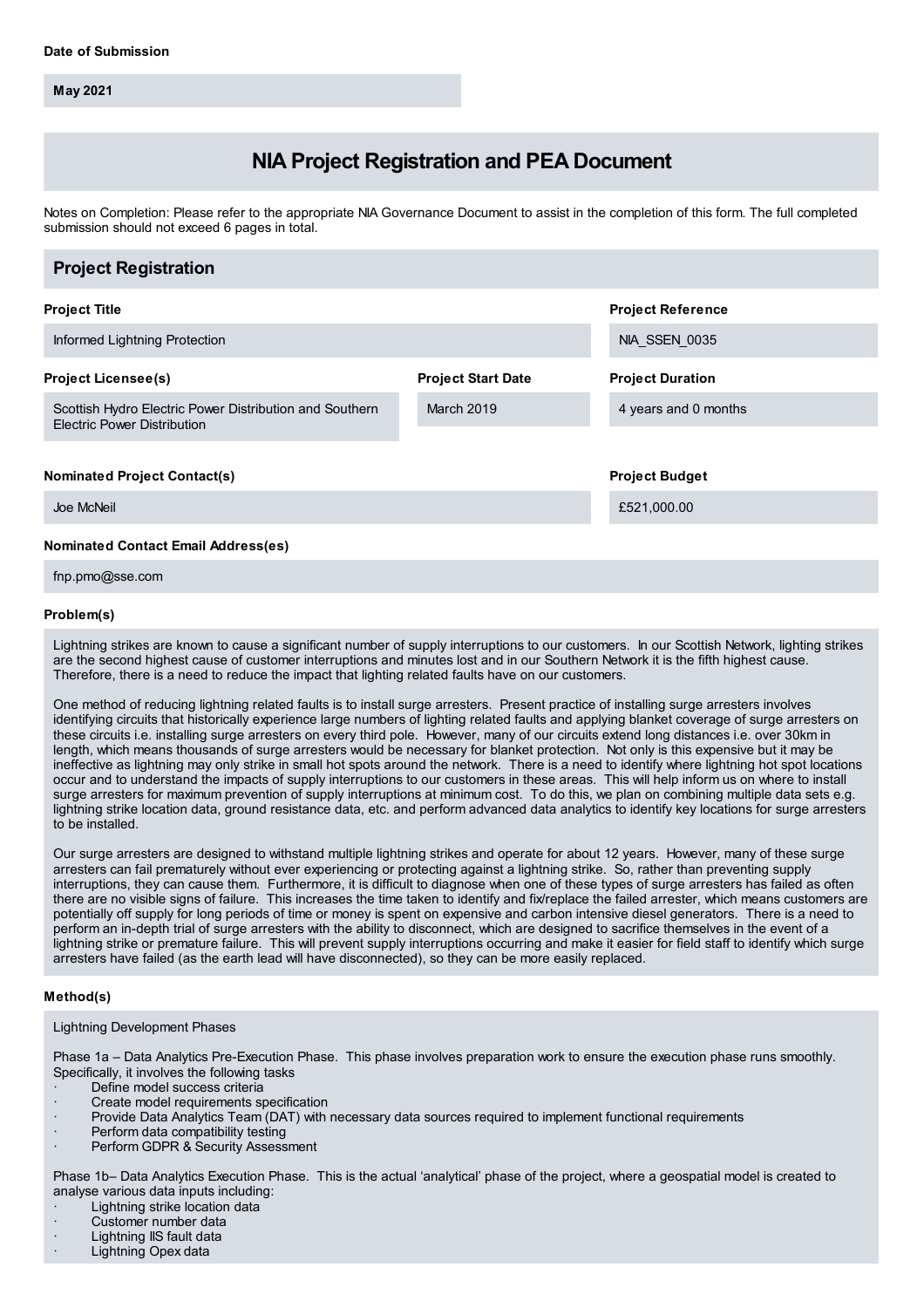**May 2021**

# **NIA Project Registration and PEA Document**

Notes on Completion: Please refer to the appropriate NIA Governance Document to assist in the completion of this form. The full completed submission should not exceed 6 pages in total.

| <b>Project Registration</b>                                                                   |                           |                          |
|-----------------------------------------------------------------------------------------------|---------------------------|--------------------------|
| <b>Project Title</b>                                                                          |                           | <b>Project Reference</b> |
| Informed Lightning Protection                                                                 |                           | NIA SSEN 0035            |
| <b>Project Licensee(s)</b>                                                                    | <b>Project Start Date</b> | <b>Project Duration</b>  |
| Scottish Hydro Electric Power Distribution and Southern<br><b>Electric Power Distribution</b> | March 2019                | 4 years and 0 months     |
|                                                                                               |                           |                          |
| <b>Nominated Project Contact(s)</b>                                                           |                           | <b>Project Budget</b>    |
| Joe McNeil                                                                                    |                           | £521,000.00              |
| <b>Nominated Contact Email Address(es)</b>                                                    |                           |                          |

fnp.pmo@sse.com

#### **Problem(s)**

Lightning strikes are known to cause a significant number of supply interruptions to our customers. In our Scottish Network, lighting strikes are the second highest cause of customer interruptions and minutes lost and in our Southern Network it is the fifth highest cause. Therefore, there is a need to reduce the impact that lighting related faults have on our customers.

One method of reducing lightning related faults is to install surge arresters. Present practice of installing surge arresters involves identifying circuits that historically experience large numbers of lighting related faults and applying blanket coverage of surge arresters on these circuits i.e. installing surge arresters on every third pole. However, many of our circuits extend long distances i.e. over 30km in length, which means thousands of surge arresters would be necessary for blanket protection. Not only is this expensive but it may be ineffective as lightning may only strike in small hot spots around the network. There is a need to identify where lightning hot spot locations occur and to understand the impacts of supply interruptions to our customers in these areas. This will help inform us on where to install surge arresters for maximum prevention of supply interruptions at minimum cost. To do this, we plan on combining multiple data sets e.g. lightning strike location data, ground resistance data, etc. and perform advanced data analytics to identify key locations for surge arresters to be installed.

Our surge arresters are designed to withstand multiple lightning strikes and operate for about 12 years. However, many of these surge arresters can fail prematurely without ever experiencing or protecting against a lightning strike. So, rather than preventing supply interruptions, they can cause them. Furthermore, it is difficult to diagnose when one of these types of surge arresters has failed as often there are no visible signs of failure. This increases the time taken to identify and fix/replace the failed arrester, which means customers are potentially off supply for long periods of time or money is spent on expensive and carbon intensive diesel generators. There is a need to perform an in-depth trial of surge arresters with the ability to disconnect, which are designed to sacrifice themselves in the event of a lightning strike or premature failure. This will prevent supply interruptions occurring and make it easier for field staff to identify which surge arresters have failed (as the earth lead will have disconnected), so they can be more easily replaced.

#### **Method(s)**

Lightning Development Phases

Phase 1a – Data Analytics Pre-Execution Phase. This phase involves preparation work to ensure the execution phase runs smoothly. Specifically, it involves the following tasks

- Define model success criteria
- · Create model requirements specification
- Provide Data Analytics Team (DAT) with necessary data sources required to implement functional requirements
- Perform data compatibility testing
- Perform GDPR & Security Assessment

Phase 1b– Data Analytics Execution Phase. This is the actual 'analytical' phase of the project, where a geospatial model is created to analyse various data inputs including:

- Lightning strike location data
- Customer number data
- Lightning IIS fault data
- Lightning Opex data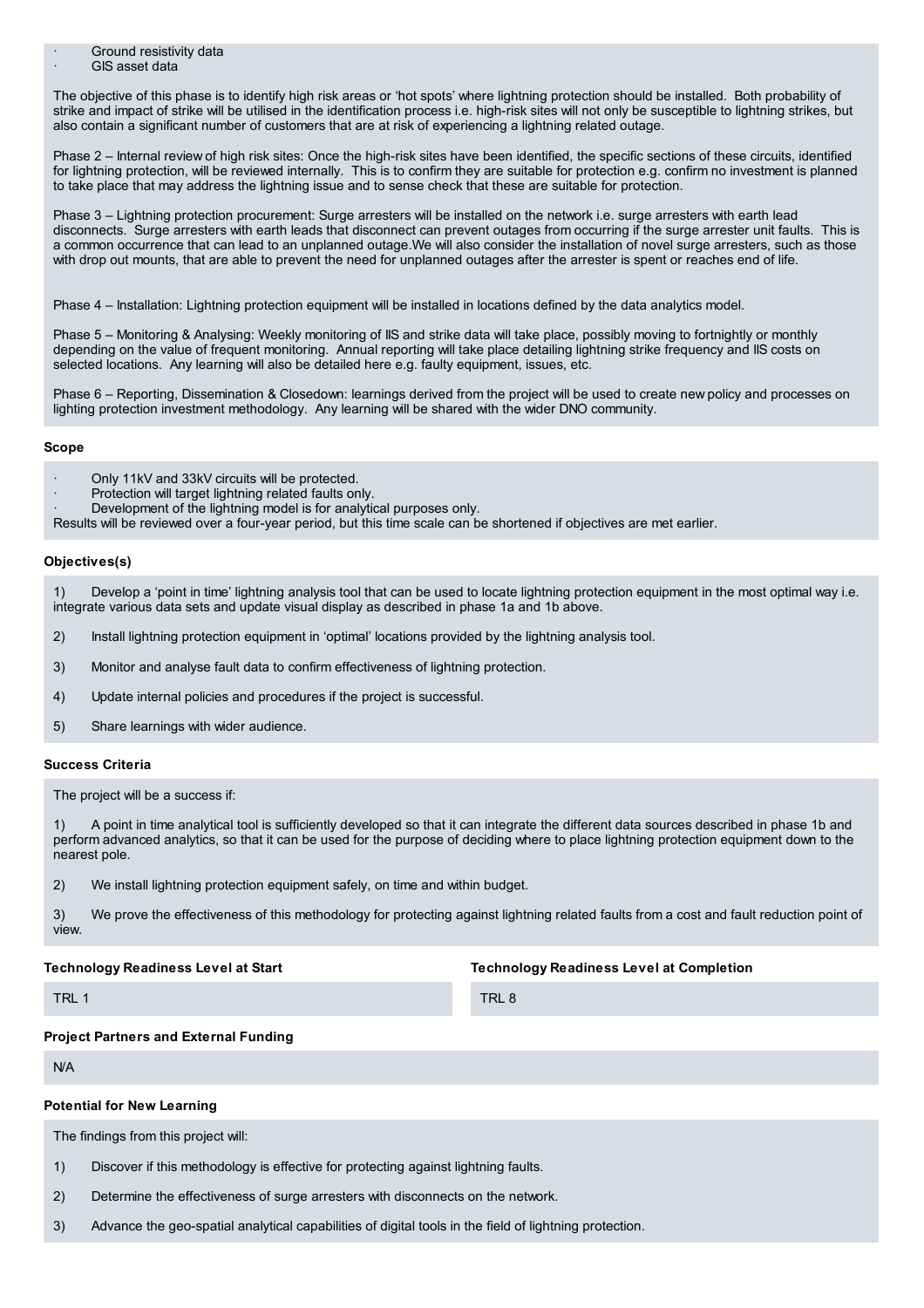· Ground resistivity data · GIS asset data

The objective of this phase is to identify high risk areas or 'hot spots' where lightning protection should be installed. Both probability of strike and impact of strike will be utilised in the identification process i.e. high-risk sites will not only be susceptible to lightning strikes, but also contain a significant number of customers that are at risk of experiencing a lightning related outage.

Phase 2 – Internal review of high risk sites: Once the high-risk sites have been identified, the specific sections of these circuits, identified for lightning protection, will be reviewed internally. This is to confirm they are suitable for protection e.g. confirm no investment is planned to take place that may address the lightning issue and to sense check that these are suitable for protection.

Phase 3 – Lightning protection procurement: Surge arresters will be installed on the network i.e. surge arresters with earth lead disconnects. Surge arresters with earth leads that disconnect can prevent outages from occurring if the surge arrester unit faults. This is a common occurrence that can lead to an unplanned outage.We will also consider the installation of novel surge arresters, such as those with drop out mounts, that are able to prevent the need for unplanned outages after the arrester is spent or reaches end of life.

Phase 4 – Installation: Lightning protection equipment will be installed in locations defined by the data analytics model.

Phase 5 – Monitoring & Analysing: Weekly monitoring of IIS and strike data will take place, possibly moving to fortnightly or monthly depending on the value of frequent monitoring. Annual reporting will take place detailing lightning strike frequency and IIS costs on selected locations. Any learning will also be detailed here e.g. faulty equipment, issues, etc.

Phase 6 – Reporting, Dissemination & Closedown: learnings derived from the project will be used to create new policy and processes on lighting protection investment methodology. Any learning will be shared with the wider DNO community.

# **Scope**

- Only 11kV and 33kV circuits will be protected.
- Protection will target lightning related faults only.
- Development of the lightning model is for analytical purposes only.

Results will be reviewed over a four-year period, but this time scale can be shortened if objectives are met earlier.

#### **Objectives(s)**

1) Develop a 'point in time' lightning analysis tool that can be used to locate lightning protection equipment in the most optimal way i.e. integrate various data sets and update visual display as described in phase 1a and 1b above.

- 2) Install lightning protection equipment in 'optimal' locations provided by the lightning analysis tool.
- 3) Monitor and analyse fault data to confirm effectiveness of lightning protection.
- 4) Update internal policies and procedures if the project is successful.
- 5) Share learnings with wider audience.

#### **Success Criteria**

The project will be a success if:

1) A point in time analytical tool is sufficiently developed so that it can integrate the different data sources described in phase 1b and perform advanced analytics, so that it can be used for the purpose of deciding where to place lightning protection equipment down to the nearest pole.

2) We install lightning protection equipment safely, on time and within budget.

3) We prove the effectiveness of this methodology for protecting against lightning related faults from a cost and fault reduction point of view.

#### **Technology Readiness Level at Start**

TRI 1

**Technology Readiness Level at Completion**

TRI<sub>8</sub>

# **Project Partners and External Funding**

N/A

# **Potential for New Learning**

The findings from this project will:

1) Discover if this methodology is effective for protecting against lightning faults.

- 2) Determine the effectiveness of surge arresters with disconnects on the network.
- 3) Advance the geo-spatial analytical capabilities of digital tools in the field of lightning protection.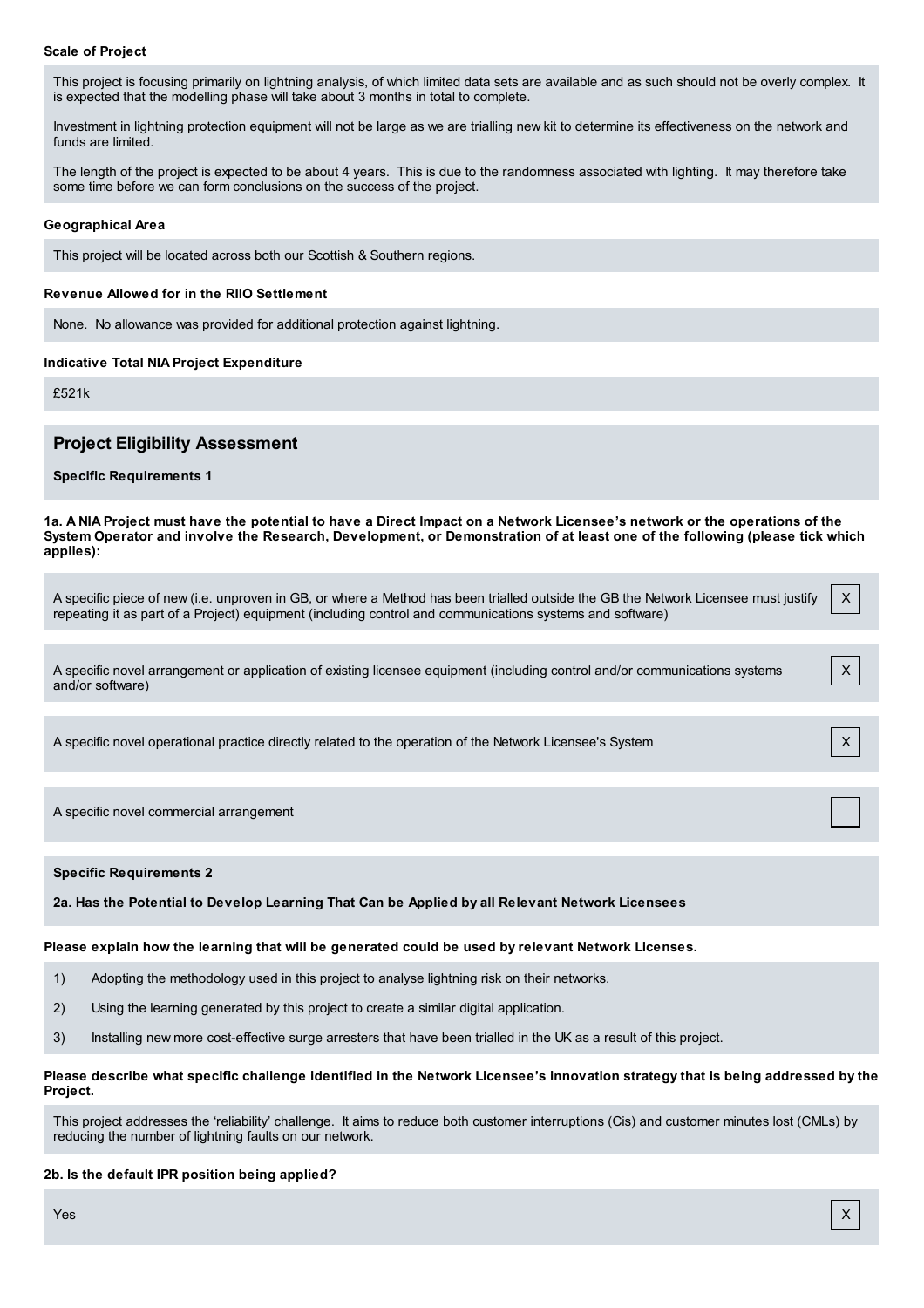#### **Scale of Project**

This project is focusing primarily on lightning analysis, of which limited data sets are available and as such should not be overly complex. It is expected that the modelling phase will take about 3 months in total to complete.

Investment in lightning protection equipment will not be large as we are trialling new kit to determine its effectiveness on the network and funds are limited.

The length of the project is expected to be about 4 years. This is due to the randomness associated with lighting. It may therefore take some time before we can form conclusions on the success of the project.

#### **Geographical Area**

This project will be located across both our Scottish & Southern regions.

#### **Revenue Allowed for in the RIIO Settlement**

None. No allowance was provided for additional protection against lightning.

# **Indicative Total NIA Project Expenditure**

£521k

# **Project Eligibility Assessment**

**Specific Requirements 1**

1a. A NIA Project must have the potential to have a Direct Impact on a Network Licensee's network or the operations of the System Operator and involve the Research, Development, or Demonstration of at least one of the following (please tick which **applies):**

| A specific piece of new (i.e. unproven in GB, or where a Method has been trialled outside the GB the Network Licensee must justify<br>repeating it as part of a Project) equipment (including control and communications systems and software) | $\times$ |
|------------------------------------------------------------------------------------------------------------------------------------------------------------------------------------------------------------------------------------------------|----------|
|                                                                                                                                                                                                                                                |          |
| A specific novel arrangement or application of existing licensee equipment (including control and/or communications systems<br>and/or software)                                                                                                |          |
|                                                                                                                                                                                                                                                |          |
| A specific novel operational practice directly related to the operation of the Network Licensee's System                                                                                                                                       |          |
|                                                                                                                                                                                                                                                |          |
| A specific novel commercial arrangement                                                                                                                                                                                                        |          |

#### **Specific Requirements 2**

**2a. Has the Potential to Develop Learning That Can be Applied by all Relevant Network Licensees**

#### **Please explain how the learning that will be generated could be used by relevant Network Licenses.**

- 1) Adopting the methodology used in this project to analyse lightning risk on their networks.
- 2) Using the learning generated by this project to create a similar digital application.
- 3) Installing new more cost-effective surge arresters that have been trialled in the UK as a result of this project.

# Please describe what specific challenge identified in the Network Licensee's innovation strategy that is being addressed by the **Project.**

This project addresses the 'reliability' challenge. It aims to reduce both customer interruptions (Cis) and customer minutes lost (CMLs) by reducing the number of lightning faults on our network.

#### **2b. Is the default IPR position being applied?**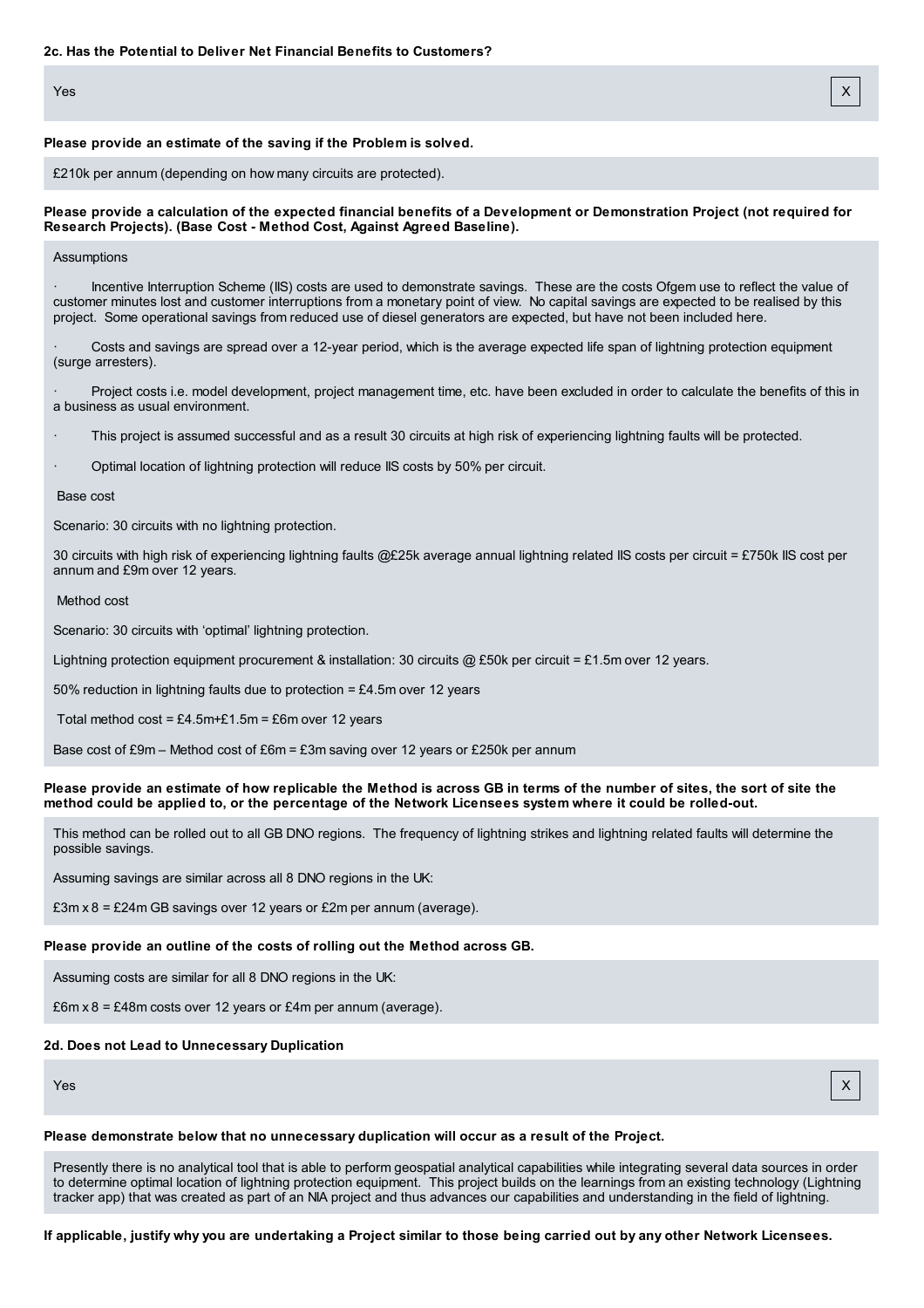Yes X

#### **Please provide an estimate of the saving if the Problem is solved.**

£210k per annum (depending on how many circuits are protected).

#### Please provide a calculation of the expected financial benefits of a Development or Demonstration Project (not required for **Research Projects). (Base Cost - Method Cost, Against Agreed Baseline).**

#### **Assumptions**

· Incentive Interruption Scheme (IIS) costs are used to demonstrate savings. These are the costs Ofgem use to reflect the value of customer minutes lost and customer interruptions from a monetary point of view. No capital savings are expected to be realised by this project. Some operational savings from reduced use of diesel generators are expected, but have not been included here.

· Costs and savings are spread over a 12-year period, which is the average expected life span of lightning protection equipment (surge arresters).

Project costs i.e. model development, project management time, etc. have been excluded in order to calculate the benefits of this in a business as usual environment.

· This project is assumed successful and as a result 30 circuits at high risk of experiencing lightning faults will be protected.

Optimal location of lightning protection will reduce IIS costs by 50% per circuit.

#### Base cost

Scenario: 30 circuits with no lightning protection.

30 circuits with high risk of experiencing lightning faults @£25k average annual lightning related IIS costs per circuit = £750k IIS cost per annum and £9m over 12 years.

#### Method cost

Scenario: 30 circuits with 'optimal' lightning protection.

Lightning protection equipment procurement & installation: 30 circuits @ £50k per circuit = £1.5m over 12 years.

50% reduction in lightning faults due to protection = £4.5m over 12 years

Total method  $cost = £4.5m+£1.5m = £6m$  over 12 years

Base cost of £9m – Method cost of £6m = £3m saving over 12 years or £250k per annum

#### Please provide an estimate of how replicable the Method is across GB in terms of the number of sites, the sort of site the method could be applied to, or the percentage of the Network Licensees system where it could be rolled-out.

This method can be rolled out to all GB DNO regions. The frequency of lightning strikes and lightning related faults will determine the possible savings.

Assuming savings are similar across all 8 DNO regions in the UK:

£3m x 8 = £24m GB savings over 12 years or £2m per annum (average).

# **Please provide an outline of the costs of rolling out the Method across GB.**

Assuming costs are similar for all 8 DNO regions in the UK:

£6m  $x$  8 = £48m costs over 12 years or £4m per annum (average).

#### **2d. Does not Lead to Unnecessary Duplication**

Yes X



#### **Please demonstrate below that no unnecessary duplication will occur as a result of the Project.**

Presently there is no analytical tool that is able to perform geospatial analytical capabilities while integrating several data sources in order to determine optimal location of lightning protection equipment. This project builds on the learnings from an existing technology (Lightning tracker app) that was created as part of an NIA project and thus advances our capabilities and understanding in the field of lightning.

If applicable, justify why you are undertaking a Project similar to those being carried out by any other Network Licensees.